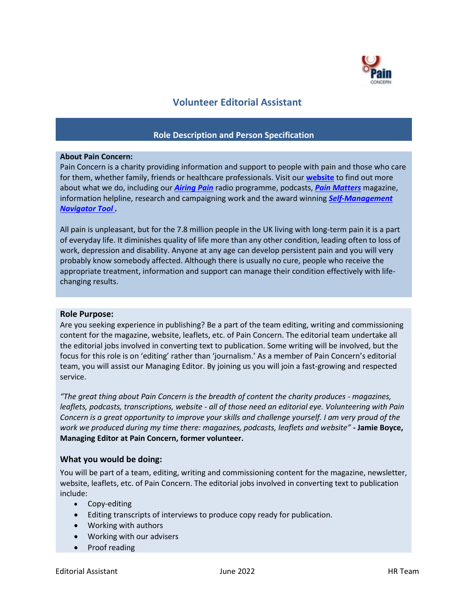

# **Volunteer Editorial Assistant**

## **Role Description and Person Specification**

## **About Pain Concern:**

Pain Concern is a charity providing information and support to people with pain and those who care for them, whether family, friends or healthcare professionals. Visit our **[website](http://painconcern.org.uk/how-we-help/pain-matters-magazine/)** to find out more about what we do, including our *[Airing Pain](http://painconcern.org.uk/how-we-help/airing-pain/)* radio programme, podcasts, *[Pain Matters](http://painconcern.org.uk/how-we-help/pain-matters-magazine/)* magazine, information helpline, research and campaigning work and the award winning *[Self-Management](https://painconcern.org.uk/the-navigator-tool/)  [Navigator Tool .](https://painconcern.org.uk/the-navigator-tool/)*

All pain is unpleasant, but for the 7.8 million people in the UK living with long-term pain it is a part of everyday life. It diminishes quality of life more than any other condition, leading often to loss of work, depression and disability. Anyone at any age can develop persistent pain and you will very probably know somebody affected. Although there is usually no cure, people who receive the appropriate treatment, information and support can manage their condition effectively with lifechanging results.

## **Role Purpose:**

Are you seeking experience in publishing? Be a part of the team editing, writing and commissioning content for the magazine, website, leaflets, etc. of Pain Concern. The editorial team undertake all the editorial jobs involved in converting text to publication. Some writing will be involved, but the focus for this role is on 'editing' rather than 'journalism.' As a member of Pain Concern's editorial team, you will assist our Managing Editor. By joining us you will join a fast-growing and respected service.

"The great thing about Pain Concern is the breadth of content the charity produces - magazines, *leaflets, podcasts, transcriptions, website - all of those need an editorial eye. Volunteering with Pain Concern is a great opportunity to improve your skills and challenge yourself. I am very proud of the work we produced during my time there: magazines, podcasts, leaflets and website" -* **Jamie Boyce, Managing Editor at Pain Concern, former volunteer.**

## **What you would be doing:**

You will be part of a team, editing, writing and commissioning content for the magazine, newsletter, website, leaflets, etc. of Pain Concern. The editorial jobs involved in converting text to publication include:

- Copy-editing
- Editing transcripts of interviews to produce copy ready for publication.
- Working with authors
- Working with our advisers
- Proof reading